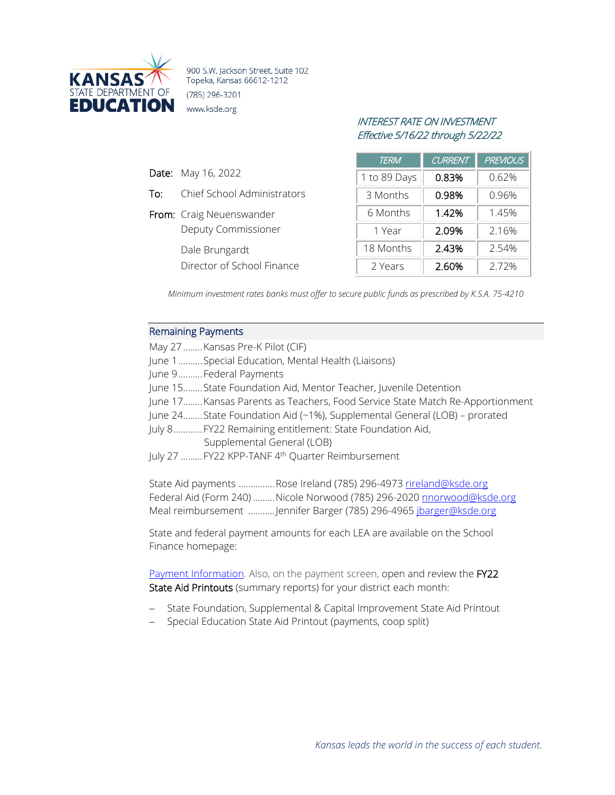

900 S.W. Jackson Street, Suite 102 Topeka, Kansas 66612-1212 (785) 296-3201 www.ksde.org

# INTEREST RATE ON INVESTMENT Effective 5/16/22 through 5/22/22

|     |                             | <b>TERM</b>  | <b>CURRENT</b> | <b>PREVIOUS</b> |
|-----|-----------------------------|--------------|----------------|-----------------|
|     | <b>Date:</b> May 16, 2022   | 1 to 89 Days | 0.83%          | 0.62%           |
| To: | Chief School Administrators | 3 Months     | 0.98%          | 0.96%           |
|     | From: Craig Neuenswander    | 6 Months     | 1.42%          | 1.45%           |
|     | <b>Deputy Commissioner</b>  | 1 Year       | 2.09%          | 2.16%           |
|     | Dale Brungardt              | 18 Months    | 2.43%          | 2.54%           |
|     | Director of School Finance  | 2 Years      | 2.60%          | 2.72%           |

*Minimum investment rates banks must offer to secure public funds as prescribed by K.S.A. 75-4210*

### Remaining Payments

| May 27  Kansas Pre-K Pilot (CIF)                                             |
|------------------------------------------------------------------------------|
| June 1 Special Education, Mental Health (Liaisons)                           |
| June 9Federal Payments                                                       |
| June 15 State Foundation Aid, Mentor Teacher, Juvenile Detention             |
| June 17Kansas Parents as Teachers, Food Service State Match Re-Apportionment |
| June 24State Foundation Aid (~1%), Supplemental General (LOB) - prorated     |
| July 8 FY22 Remaining entitlement: State Foundation Aid,                     |
| Supplemental General (LOB)                                                   |
| July 27  FY22 KPP-TANF 4 <sup>th</sup> Quarter Reimbursement                 |
|                                                                              |
| State Aid payments Rose Ireland (785) 296-4973 <u>rireland@ksde.org</u>      |
| Federal Aid (Form 240)  Nicole Norwood (785) 296-2020 nnorwood@ksde.org      |
| Meal reimbursement Jennifer Barger (785) 296-4965 jbarger@ksde.org           |
|                                                                              |

State and federal payment amounts for each LEA are available on the School Finance homepage:

[Payment Information.](http://www.ksde.org/Agency/FiscalandAdministrativeServices/SchoolFinance/PaymentInformation.aspx) Also, on the payment screen, open and review the FY22 State Aid Printouts (summary reports) for your district each month:

- − State Foundation, Supplemental & Capital Improvement State Aid Printout
- − Special Education State Aid Printout (payments, coop split)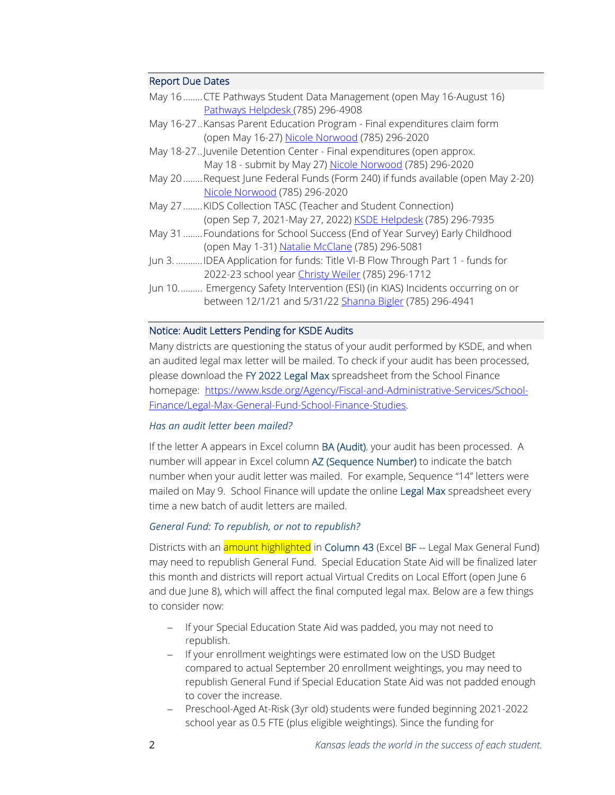### Report Due Dates

| May 16CTE Pathways Student Data Management (open May 16-August 16)<br>Pathways Helpdesk (785) 296-4908 |
|--------------------------------------------------------------------------------------------------------|
| May 16-27. Kansas Parent Education Program - Final expenditures claim form                             |
| (open May 16-27) Nicole Norwood (785) 296-2020                                                         |
| May 18-27. Juvenile Detention Center - Final expenditures (open approx.                                |
| May 18 - submit by May 27) Nicole Norwood (785) 296-2020                                               |
| May 20Request June Federal Funds (Form 240) if funds available (open May 2-20)                         |
| Nicole Norwood (785) 296-2020                                                                          |
| May 27  KIDS Collection TASC (Teacher and Student Connection)                                          |
| (open Sep 7, 2021-May 27, 2022) KSDE Helpdesk (785) 296-7935                                           |
| May 31  Foundations for School Success (End of Year Survey) Early Childhood                            |
| (open May 1-31) Natalie McClane (785) 296-5081                                                         |
| Jun 3. IDEA Application for funds: Title VI-B Flow Through Part 1 - funds for                          |
| 2022-23 school year Christy Weiler (785) 296-1712                                                      |
| Jun 10 Emergency Safety Intervention (ESI) (in KIAS) Incidents occurring on or                         |
| between 12/1/21 and 5/31/22 Shanna Bigler (785) 296-4941                                               |

# Notice: Audit Letters Pending for KSDE Audits

Many districts are questioning the status of your audit performed by KSDE, and when an audited legal max letter will be mailed. To check if your audit has been processed, please download the FY 2022 Legal Max spreadsheet from the School Finance homepage: [https://www.ksde.org/Agency/Fiscal-and-Administrative-Services/School-](https://www.ksde.org/Agency/Fiscal-and-Administrative-Services/School-Finance/Legal-Max-General-Fund-School-Finance-Studies)[Finance/Legal-Max-General-Fund-School-Finance-Studies.](https://www.ksde.org/Agency/Fiscal-and-Administrative-Services/School-Finance/Legal-Max-General-Fund-School-Finance-Studies)

### *Has an audit letter been mailed?*

If the letter A appears in Excel column BA (Audit), your audit has been processed. A number will appear in Excel column AZ (Sequence Number) to indicate the batch number when your audit letter was mailed. For example, Sequence "14" letters were mailed on May 9. School Finance will update the online Legal Max spreadsheet every time a new batch of audit letters are mailed.

### *General Fund: To republish, or not to republish?*

Districts with an **amount highlighted** in Column 43 (Excel BF -- Legal Max General Fund) may need to republish General Fund. Special Education State Aid will be finalized later this month and districts will report actual Virtual Credits on Local Effort (open June 6 and due June 8), which will affect the final computed legal max. Below are a few things to consider now:

- − If your Special Education State Aid was padded, you may not need to republish.
- − If your enrollment weightings were estimated low on the USD Budget compared to actual September 20 enrollment weightings, you may need to republish General Fund if Special Education State Aid was not padded enough to cover the increase.
- − Preschool-Aged At-Risk (3yr old) students were funded beginning 2021-2022 school year as 0.5 FTE (plus eligible weightings). Since the funding for